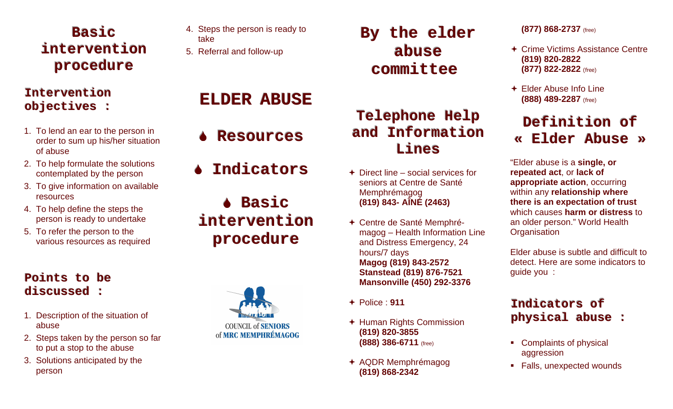# **Basic interventionprocedure**

# **Interventionobjectives :**

- 1. To lend an ear to the person in order to sum up his/her situation of abuse
- 2. To help formulate the solutions contemplated by the person
- 3. To give information on available resources
- 4. To help define the steps the person is ready to undertake
- 5. To refer the person to the various resources as required

# **Pointstobediscussed :**

- 1. Description of the situation of abuse
- 2. Steps taken by the person so far to put a stop to the abuse
- 3. Solutions anticipated by the person
- 4. Steps the person is ready to take
- 5. Referral and follow-up

# **ELDERABUSE**

- ♦ **Resources**
- ♦ **Indicators**
- **Basic interventionprocedure**



# **Bytheelder abusecommittee**

#### **TelephoneHelp andInformationLines**

- $\div$  Direct line social services for seniors at Centre de Santé Memphrémagog **(819) 843- AÎNÉ (2463)**
- Centre de Santé Memphrémagog – Health Information Line and Distress Emergency, 24 hours/7 days **Magog (819) 843-2572 Stanstead (819) 876-7521 Mansonville (450) 292-3376**
- Police : **911**
- Human Rights Commission **(819) 820-3855 (888) 386-6711** (free)
- AQDR Memphrémagog **(819) 868-2342**

#### **(877) 868-2737** (free)

- **← Crime Victims Assistance Centre (819) 820-2822 (877) 822-2822** (free)
- Elder Abuse Info Line **(888) 489-2287** (free)

# **Definitionof«ElderAbuse»**

"Elder abuse is a **single, or repeated act**, or **lack of appropriate action**, occurring within any **relationship where there is an expectation of trust** which causes **harm or distress** to an older person." World Health **Organisation** 

Elder abuse is subtle and difficult to detect. Here are some indicators to guide you :

# **Indicatorsofphysicalabuse :**

- Complaints of physical aggression
- Falls, unexpected wounds